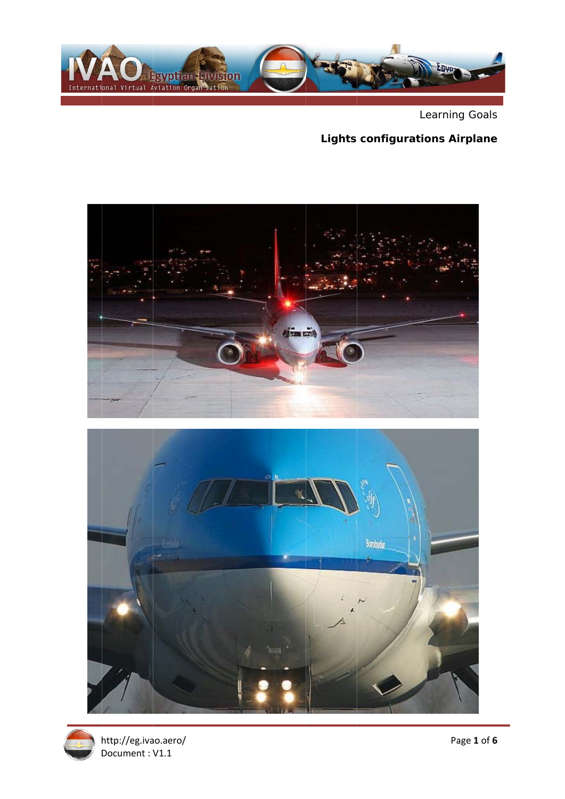

Learning Goals

### **Lights configurations Airplane**







http://eg.ivao.aero/ Document: V1.1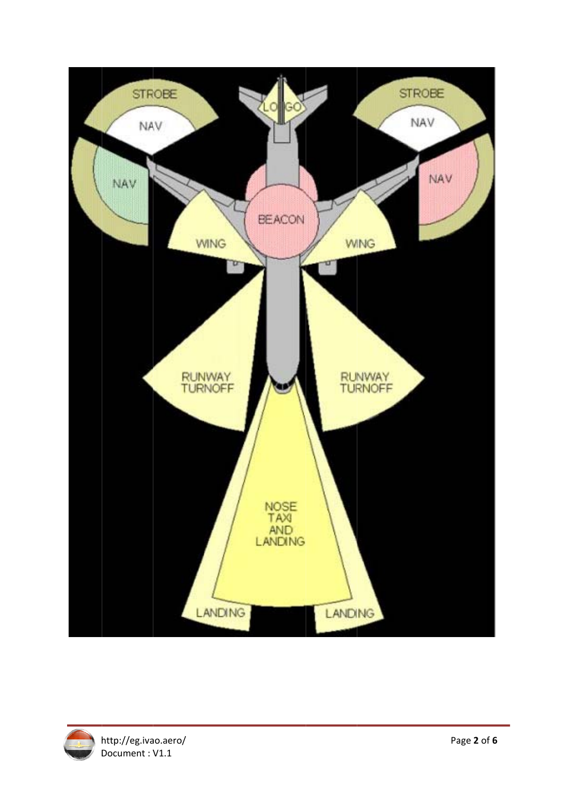

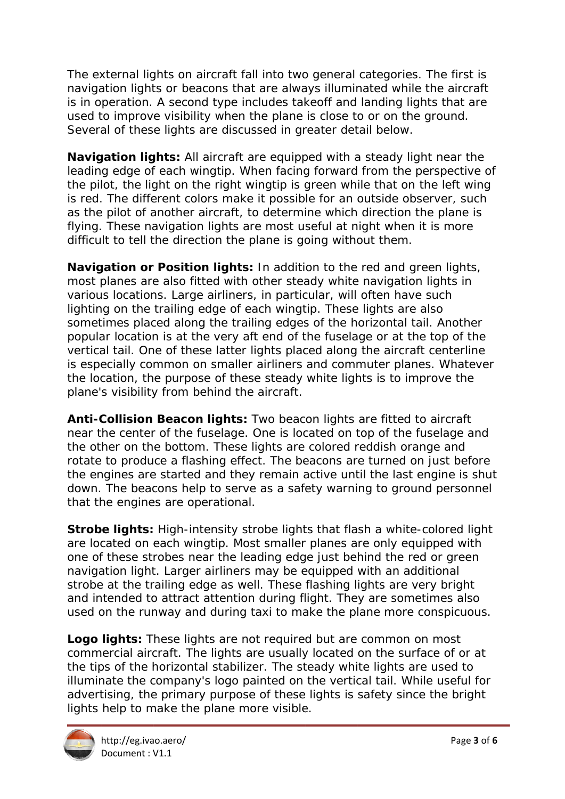The external lights on aircraft fall into two general categories. The first is navigation lights or beacons that are always illuminated while the aircraft is in operation. A second type includes takeoff and landing lights that are used to improve visibility when the plane is close to or on the ground. Several of these lights are discussed in greater detail below.

Navigation lights: All aircraft are equipped with a steady light near the leading edge of each wingtip. When facing forward from the perspective of the pilot, the light on the right wingtip is green while that on the left wing is red. The different colors make it possible for an outside observer, such as the pilot of another aircraft, to determine which direction the plane is flying. These navigation lights are most useful at night when it is more difficult to tell the direction the plane is going without them.

Navigation or Position lights: In addition to the red and green lights, most planes are also fitted with other steady white navigation lights in various locations. Large airliners, in particular, will often have such lighting on the trailing edge of each wingtip. These lights are also sometimes placed along the trailing edges of the horizontal tail. Another popular location is at the very aft end of the fuselage or at the top of the vertical tail. One of these latter lights placed along the aircraft centerline is especially common on smaller airliners and commuter planes. Whatever the location, the purpose of these steady white lights is to improve the plane's visibility from behind the aircraft.

Anti-Collision Beacon lights: Two beacon lights are fitted to aircraft near the center of the fuselage. One is located on top of the fuselage and the other on the bottom. These lights are colored reddish orange and rotate to produce a flashing effect. The beacons are turned on just before the engines are started and they remain active until the last engine is shut down. The beacons help to serve as a safety warning to ground personnel that the engines are operational.

Strobe lights: High-intensity strobe lights that flash a white-colored light are located on each wingtip. Most smaller planes are only equipped with one of these strobes near the leading edge just behind the red or green navigation light. Larger airliners may be equipped with an additional strobe at the trailing edge as well. These flashing lights are very bright and intended to attract attention during flight. They are sometimes also used on the runway and during taxi to make the plane more conspicuous.

Logo lights: These lights are not required but are common on most commercial aircraft. The lights are usually located on the surface of or at the tips of the horizontal stabilizer. The steady white lights are used to illuminate the company's logo painted on the vertical tail. While useful for advertising, the primary purpose of these lights is safety since the bright lights help to make the plane more visible.

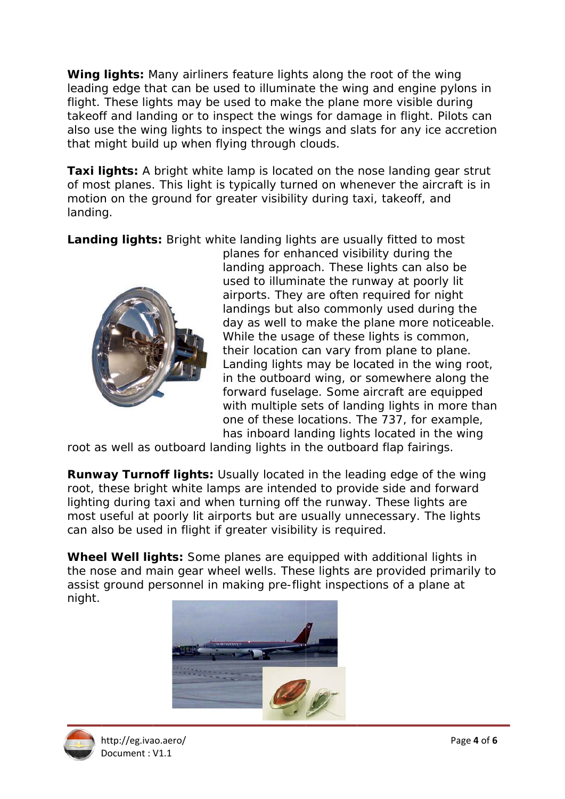Wing lights: Many airliners feature lights along the root of the wing leading edge that can be used to illuminate the wing and engine pylons in flight. These lights may be used to make the plane more visible during takeoff and landing or to inspect the wings for damage in flight. Pilots can also use the wing lights to inspect the wings and slats for any ice accretion that might build up when flying through clouds.

Taxi lights: A bright white lamp is located on the nose landing gear strut of most planes. This light is typically turned on whenever the aircraft is in motion on the ground for greater visibility during taxi, takeoff, and landin g.

Landing lights: Bright white landing lights are usually fitted to most



planes for enhanced visibility during the landing approach. These lights can also be used to illuminate the runway at poorly lit airports. They are often required for night landings but also commonly used during the day as well to make the plane more noticeable. While the usage of these lights is common, their location can vary from plane to plane. Landing lights may be located in the wing root, in the outboard wing, or somewhere along the forward fuselage. Some aircraft are equipped with multiple sets of landing lights in more than one of these locations. The 737, for example, has inboard landing lights located in the wing

root as well as outboard landing lights in the outboard flap fairings.

**Runway Turnoff lights:** Usually located in the leading edge of the wing root, these bright white lamps are intended to provide side and forward lighting during taxi and when turning off the runway. These lights are most useful at poorly lit airports but are usually unnecessary. The lights can also be used in flight if greater visibility is required.

Wheel Well lights: Some planes are equipped with additional lights in the nose and main gear wheel wells. These lights are provided primarily to assist ground personnel in making pre-flight inspections of a plane at night.



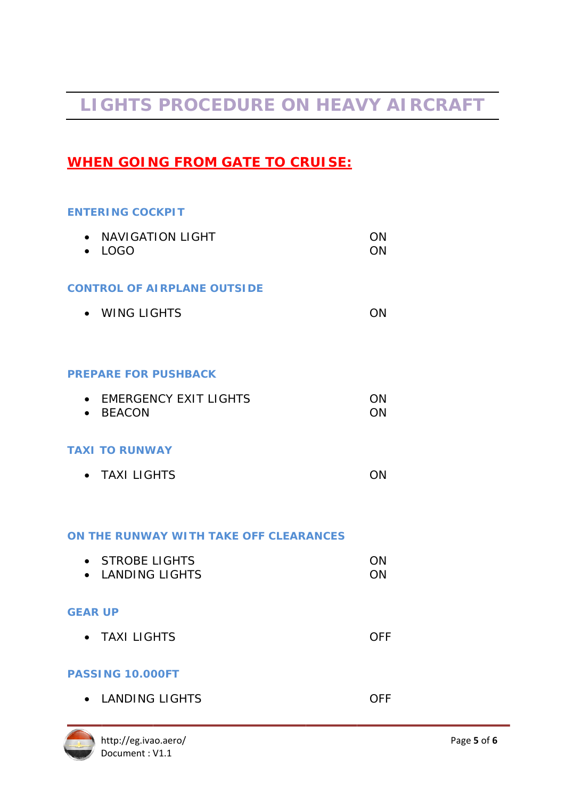# **LIGHTS PROCEDURE ON HEAVY AIRCRAFT**

## **<u>WHEN GOING FROM GATE TO CRUISE:</u>**

### **ENTERING COCKPIT**

| <b>NAVIGATION LIGHT</b><br><b>LOGO</b>   | ON<br>ON   |
|------------------------------------------|------------|
| <b>CONTROL OF AIRPLANE OUTSIDE</b>       |            |
| <b>WING LIGHTS</b>                       | ON         |
|                                          |            |
| <b>PREPARE FOR PUSHBACK</b>              |            |
| • EMERGENCY EXIT LIGHTS<br><b>BEACON</b> | ON<br>ON   |
|                                          |            |
| <b>TAXI TO RUNWAY</b>                    |            |
| <b>TAXI LIGHTS</b>                       | ON         |
|                                          |            |
| ON THE RUNWAY WITH TAKE OFF CLEARANCES   |            |
| • STROBE LIGHTS<br><b>LANDING LIGHTS</b> | ON<br>ON   |
|                                          |            |
| <b>GEAR UP</b>                           |            |
| <b>TAXI LIGHTS</b>                       | <b>OFF</b> |

### **PASSING 10.000FT**

• LANDING LIGHTS **OFF**